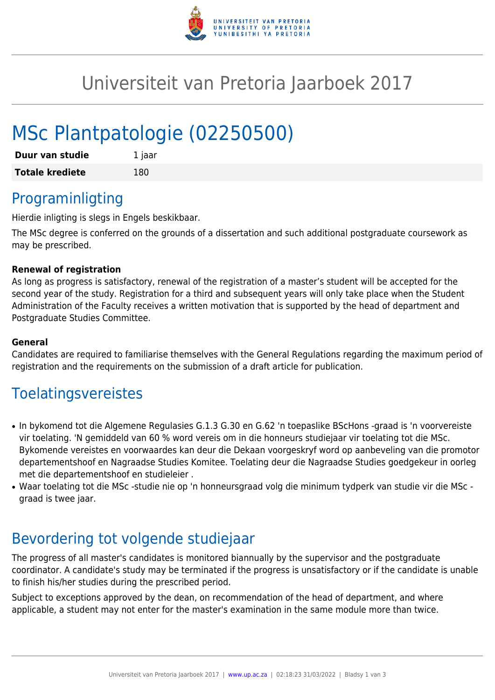

## Universiteit van Pretoria Jaarboek 2017

# MSc Plantpatologie (02250500)

| Duur van studie        | 1 jaar |
|------------------------|--------|
| <b>Totale krediete</b> | 180    |

#### Programinligting

Hierdie inligting is slegs in Engels beskikbaar.

The MSc degree is conferred on the grounds of a dissertation and such additional postgraduate coursework as may be prescribed.

#### **Renewal of registration**

As long as progress is satisfactory, renewal of the registration of a master's student will be accepted for the second year of the study. Registration for a third and subsequent years will only take place when the Student Administration of the Faculty receives a written motivation that is supported by the head of department and Postgraduate Studies Committee.

#### **General**

Candidates are required to familiarise themselves with the General Regulations regarding the maximum period of registration and the requirements on the submission of a draft article for publication.

### Toelatingsvereistes

- In bykomend tot die Algemene Regulasies G.1.3 G.30 en G.62 'n toepaslike BScHons -graad is 'n voorvereiste vir toelating. 'N gemiddeld van 60 % word vereis om in die honneurs studiejaar vir toelating tot die MSc. Bykomende vereistes en voorwaardes kan deur die Dekaan voorgeskryf word op aanbeveling van die promotor departementshoof en Nagraadse Studies Komitee. Toelating deur die Nagraadse Studies goedgekeur in oorleg met die departementshoof en studieleier .
- Waar toelating tot die MSc -studie nie op 'n honneursgraad volg die minimum tydperk van studie vir die MSc graad is twee jaar.

#### Bevordering tot volgende studiejaar

The progress of all master's candidates is monitored biannually by the supervisor and the postgraduate coordinator. A candidate's study may be terminated if the progress is unsatisfactory or if the candidate is unable to finish his/her studies during the prescribed period.

Subject to exceptions approved by the dean, on recommendation of the head of department, and where applicable, a student may not enter for the master's examination in the same module more than twice.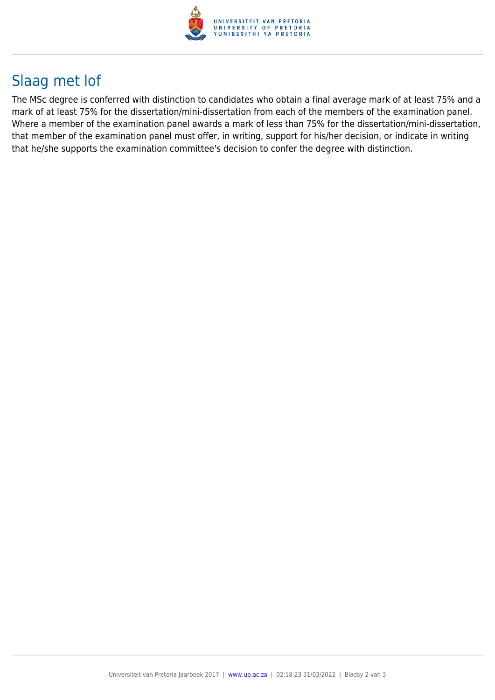

## Slaag met lof

The MSc degree is conferred with distinction to candidates who obtain a final average mark of at least 75% and a mark of at least 75% for the dissertation/mini-dissertation from each of the members of the examination panel. Where a member of the examination panel awards a mark of less than 75% for the dissertation/mini-dissertation, that member of the examination panel must offer, in writing, support for his/her decision, or indicate in writing that he/she supports the examination committee's decision to confer the degree with distinction.